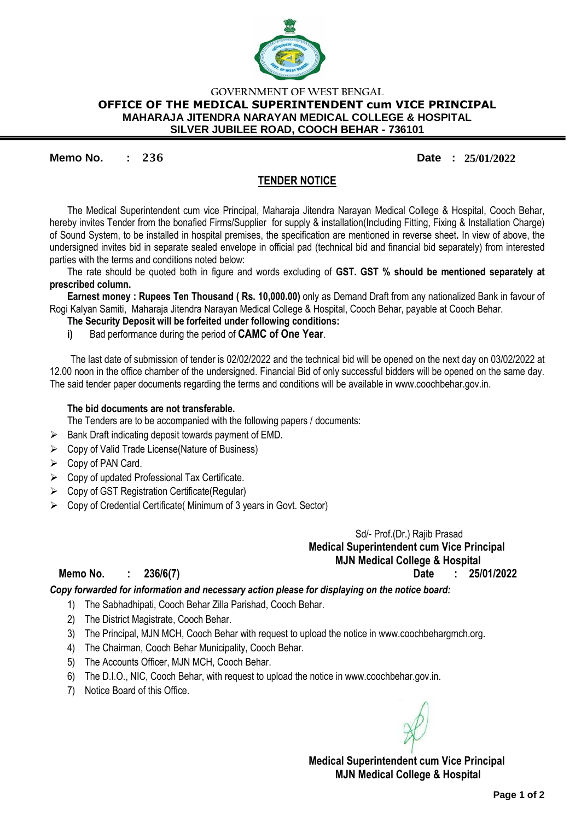

## **GOVERNMENT OF WEST BENGAL OFFICE OF THE MEDICAL SUPERINTENDENT cum VICE PRINCIPAL MAHARAJA JITENDRA NARAYAN MEDICAL COLLEGE & HOSPITAL SILVER JUBILEE ROAD, COOCH BEHAR - 736101**

**Memo No. : 236 Date : 25/01/2022**

## **TENDER NOTICE**

The Medical Superintendent cum vice Principal, Maharaja Jitendra Narayan Medical College & Hospital, Cooch Behar, hereby invites Tender from the bonafied Firms/Supplier for supply & installation(Including Fitting, Fixing & Installation Charge) of Sound System, to be installed in hospital premises, the specification are mentioned in reverse sheet**.** In view of above, the undersigned invites bid in separate sealed envelope in official pad (technical bid and financial bid separately) from interested parties with the terms and conditions noted below:

The rate should be quoted both in figure and words excluding of **GST. GST % should be mentioned separately at prescribed column.**

**Earnest money : Rupees Ten Thousand ( Rs. 10,000.00)** only as Demand Draft from any nationalized Bank in favour of Rogi Kalyan Samiti, Maharaja Jitendra Narayan Medical College & Hospital, Cooch Behar, payable at Cooch Behar.

- **The Security Deposit will be forfeited under following conditions:**
- **i)** Bad performance during the period of **CAMC of One Year**.

The last date of submission of tender is 02/02/2022 and the technical bid will be opened on the next day on 03/02/2022 at 12.00 noon in the office chamber of the undersigned. Financial Bid of only successful bidders will be opened on the same day. The said tender paper documents regarding the terms and conditions will be available in www.coochbehar.gov.in.

## **The bid documents are not transferable.**

The Tenders are to be accompanied with the following papers / documents:

- $\triangleright$  Bank Draft indicating deposit towards payment of EMD.
- $\triangleright$  Copy of Valid Trade License (Nature of Business)
- $\triangleright$  Copy of PAN Card.
- $\triangleright$  Copy of updated Professional Tax Certificate.
- $\triangleright$  Copy of GST Registration Certificate (Regular)
- $\triangleright$  Copy of Credential Certificate( Minimum of 3 years in Govt. Sector)

 Sd/- Prof.(Dr.) Rajib Prasad **Medical Superintendent cum Vice Principal MJN Medical College & Hospital Memo No. : 236/6(7) Date : 25/01/2022**

*Copy forwarded for information and necessary action please for displaying on the notice board:*

- 1) The Sabhadhipati, Cooch Behar Zilla Parishad, Cooch Behar.
- 2) The District Magistrate, Cooch Behar.
- 3) The Principal, MJN MCH, Cooch Behar with request to upload the notice in www.coochbehargmch.org.
- 4) The Chairman, Cooch Behar Municipality, Cooch Behar.
- 5) The Accounts Officer, MJN MCH, Cooch Behar.
- 6) The D.I.O., NIC, Cooch Behar, with request to upload the notice in www.coochbehar.gov.in.
- 7) Notice Board of this Office.

 **Medical Superintendent cum Vice Principal MJN Medical College & Hospital**